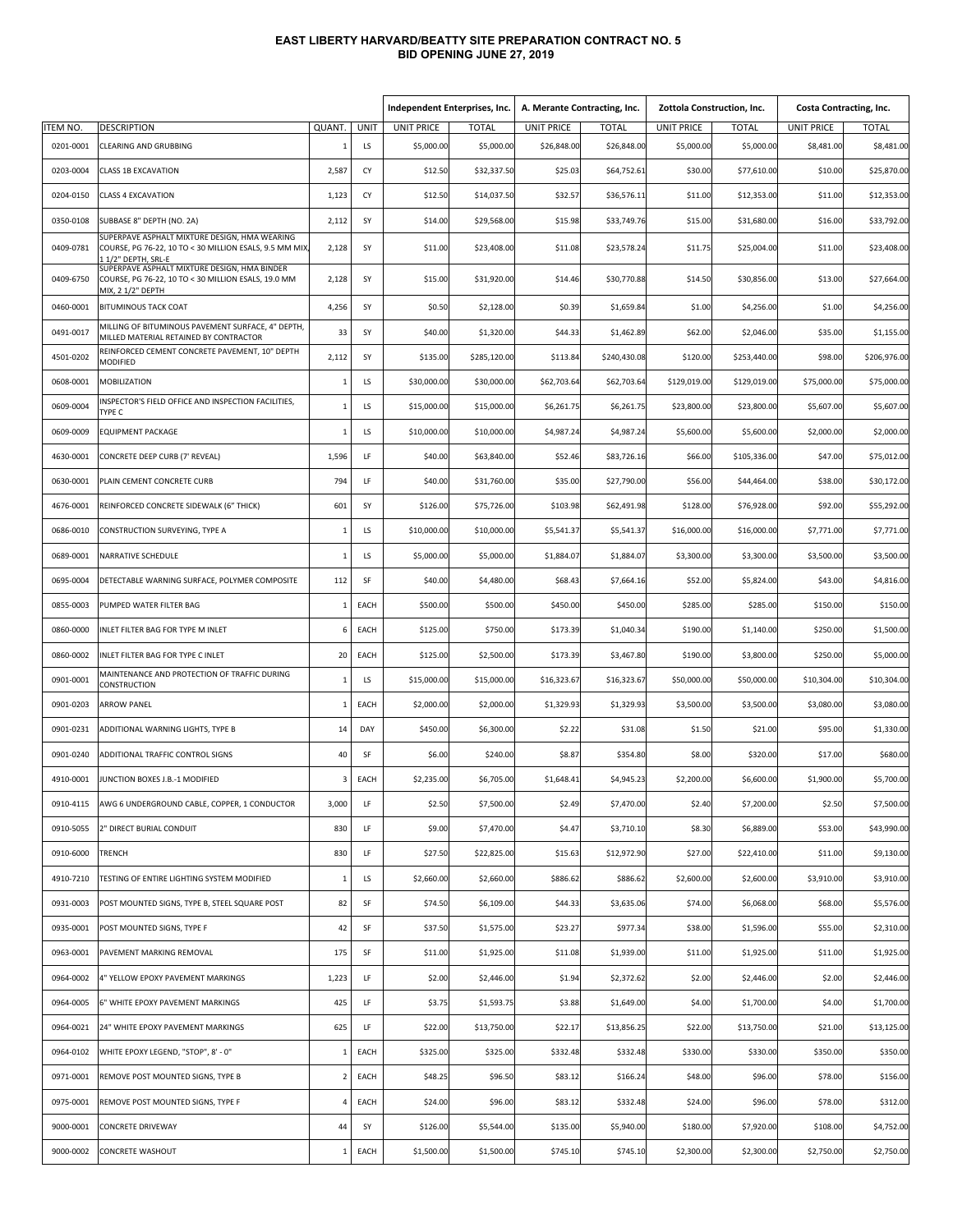## **EAST LIBERTY HARVARD/BEATTY SITE PREPARATION CONTRACT NO. 5 BID OPENING JUNE 27, 2019**

|                 |                                                                                                                                |                |      | Independent Enterprises, Inc. |              | A. Merante Contracting, Inc. |              | Zottola Construction, Inc. |              | <b>Costa Contracting, Inc.</b> |              |
|-----------------|--------------------------------------------------------------------------------------------------------------------------------|----------------|------|-------------------------------|--------------|------------------------------|--------------|----------------------------|--------------|--------------------------------|--------------|
| <b>ITEM NO.</b> | <b>DESCRIPTION</b>                                                                                                             | QUANT.         | UNIT | <b>UNIT PRICE</b>             | <b>TOTAL</b> | <b>UNIT PRICE</b>            | <b>TOTAL</b> | <b>UNIT PRICE</b>          | <b>TOTAL</b> | <b>UNIT PRICE</b>              | <b>TOTAL</b> |
| 0201-0001       | CLEARING AND GRUBBING                                                                                                          | 1              | LS   | \$5,000.00                    | \$5,000.00   | \$26,848.00                  | \$26,848.00  | \$5,000.00                 | \$5,000.00   | \$8,481.00                     | \$8,481.00   |
| 0203-0004       | <b>CLASS 1B EXCAVATION</b>                                                                                                     | 2,587          | CY   | \$12.50                       | \$32,337.50  | \$25.03                      | \$64,752.61  | \$30.00                    | \$77,610.00  | \$10.00                        | \$25,870.00  |
| 0204-0150       | <b>CLASS 4 EXCAVATION</b>                                                                                                      | 1,123          | CY   | \$12.50                       | \$14,037.50  | \$32.57                      | \$36,576.11  | \$11.00                    | \$12,353.00  | \$11.00                        | \$12,353.00  |
| 0350-0108       | SUBBASE 8" DEPTH (NO. 2A)                                                                                                      | 2,112          | SY   | \$14.00                       | \$29,568.00  | \$15.98                      | \$33,749.76  | \$15.00                    | \$31,680.00  | \$16.00                        | \$33,792.00  |
| 0409-0781       | SUPERPAVE ASPHALT MIXTURE DESIGN, HMA WEARING<br>COURSE, PG 76-22, 10 TO < 30 MILLION ESALS, 9.5 MM MIX<br>1 1/2" DEPTH, SRL-E | 2,128          | SY   | \$11.00                       | \$23,408.00  | \$11.08                      | \$23,578.24  | \$11.75                    | \$25,004.00  | \$11.00                        | \$23,408.00  |
| 0409-6750       | SUPERPAVE ASPHALT MIXTURE DESIGN, HMA BINDER<br>COURSE, PG 76-22, 10 TO < 30 MILLION ESALS, 19.0 MM<br>MIX, 2 1/2" DEPTH       | 2,128          | SY   | \$15.00                       | \$31,920.00  | \$14.46                      | \$30,770.88  | \$14.50                    | \$30,856.00  | \$13.00                        | \$27,664.00  |
| 0460-0001       | <b>BITUMINOUS TACK COAT</b>                                                                                                    | 4,256          | SY   | \$0.50                        | \$2,128.00   | \$0.39                       | \$1,659.84   | \$1.00                     | \$4,256.00   | \$1.00                         | \$4,256.00   |
| 0491-0017       | MILLING OF BITUMINOUS PAVEMENT SURFACE, 4" DEPTH,<br>MILLED MATERIAL RETAINED BY CONTRACTOR                                    | 33             | SY   | \$40.00                       | \$1,320.00   | \$44.33                      | \$1,462.89   | \$62.00                    | \$2,046.00   | \$35.00                        | \$1,155.00   |
| 4501-0202       | REINFORCED CEMENT CONCRETE PAVEMENT, 10" DEPTH<br>MODIFIED                                                                     | 2,112          | SY   | \$135.00                      | \$285,120.00 | \$113.84                     | \$240,430.08 | \$120.00                   | \$253,440.00 | \$98.00                        | \$206,976.00 |
| 0608-0001       | MOBILIZATION                                                                                                                   | $\mathbf{1}$   | LS   | \$30,000.00                   | \$30,000.00  | \$62,703.64                  | \$62,703.64  | \$129,019.00               | \$129,019.00 | \$75,000.00                    | \$75,000.00  |
| 0609-0004       | NSPECTOR'S FIELD OFFICE AND INSPECTION FACILITIES,<br>TYPE C                                                                   | 1              | LS   | \$15,000.00                   | \$15,000.00  | \$6,261.75                   | \$6,261.75   | \$23,800.00                | \$23,800.00  | \$5,607.00                     | \$5,607.00   |
| 0609-0009       | <b>EQUIPMENT PACKAGE</b>                                                                                                       | $\mathbf{1}$   | LS   | \$10,000.00                   | \$10,000.00  | \$4,987.24                   | \$4,987.24   | \$5,600.00                 | \$5,600.00   | \$2,000.00                     | \$2,000.00   |
| 4630-0001       | CONCRETE DEEP CURB (7' REVEAL)                                                                                                 | 1,596          | LF   | \$40.00                       | \$63,840.00  | \$52.46                      | \$83,726.16  | \$66.00                    | \$105,336.00 | \$47.00                        | \$75,012.00  |
| 0630-0001       | PLAIN CEMENT CONCRETE CURB                                                                                                     | 794            | LF   | \$40.00                       | \$31,760.00  | \$35.00                      | \$27,790.00  | \$56.00                    | \$44,464.00  | \$38.00                        | \$30,172.00  |
| 4676-0001       | REINFORCED CONCRETE SIDEWALK (6" THICK)                                                                                        | 601            | SY   | \$126.00                      | \$75,726.00  | \$103.98                     | \$62,491.98  | \$128.00                   | \$76,928.00  | \$92.00                        | \$55,292.00  |
| 0686-0010       | CONSTRUCTION SURVEYING, TYPE A                                                                                                 | 1              | LS   | \$10,000.00                   | \$10,000.00  | \$5,541.37                   | \$5,541.37   | \$16,000.00                | \$16,000.00  | \$7,771.00                     | \$7,771.00   |
| 0689-0001       | NARRATIVE SCHEDULE                                                                                                             | 1              | LS   | \$5,000.00                    | \$5,000.00   | \$1,884.07                   | \$1,884.07   | \$3,300.00                 | \$3,300.00   | \$3,500.00                     | \$3,500.00   |
| 0695-0004       | DETECTABLE WARNING SURFACE, POLYMER COMPOSITE                                                                                  | 112            | SF   | \$40.00                       | \$4,480.00   | \$68.43                      | \$7,664.16   | \$52.00                    | \$5,824.00   | \$43.00                        | \$4,816.00   |
| 0855-0003       | PUMPED WATER FILTER BAG                                                                                                        | 1              | EACH | \$500.00                      | \$500.00     | \$450.00                     | \$450.00     | \$285.00                   | \$285.00     | \$150.00                       | \$150.00     |
| 0860-0000       | NLET FILTER BAG FOR TYPE M INLET                                                                                               | 6              | EACH | \$125.00                      | \$750.00     | \$173.39                     | \$1,040.34   | \$190.00                   | \$1,140.00   | \$250.00                       | \$1,500.00   |
| 0860-0002       | INLET FILTER BAG FOR TYPE C INLET                                                                                              | 20             | EACH | \$125.00                      | \$2,500.00   | \$173.39                     | \$3,467.80   | \$190.00                   | \$3,800.00   | \$250.00                       | \$5,000.00   |
| 0901-0001       | MAINTENANCE AND PROTECTION OF TRAFFIC DURING<br>CONSTRUCTION                                                                   | 1              | LS   | \$15,000.00                   | \$15,000.00  | \$16,323.67                  | \$16,323.67  | \$50,000.00                | \$50,000.00  | \$10,304.00                    | \$10,304.00  |
| 0901-0203       | <b>ARROW PANEL</b>                                                                                                             | $\overline{1}$ | EACH | \$2,000.00                    | \$2,000.00   | \$1,329.93                   | \$1,329.93   | \$3,500.00                 | \$3,500.00   | \$3,080.00                     | \$3,080.00   |
| 0901-0231       | ADDITIONAL WARNING LIGHTS, TYPE B                                                                                              | 14             | DAY  | \$450.00                      | \$6,300.00   | \$2.22                       | \$31.08      | \$1.50                     | \$21.00      | \$95.00                        | \$1,330.00   |
| 0901-0240       | ADDITIONAL TRAFFIC CONTROL SIGNS                                                                                               | 40             | SF   | \$6.00                        | \$240.00     | \$8.87                       | \$354.80     | \$8.00                     | \$320.00     | \$17.00                        | \$680.00     |
| 4910-0001       | UNCTION BOXES J.B.-1 MODIFIED                                                                                                  | 3              | EACH | \$2,235.00                    | \$6,705.00   | \$1,648.41                   | \$4,945.23   | \$2,200.00                 | \$6,600.00   | \$1,900.00                     | \$5,700.00   |
| 0910-4115       | AWG 6 UNDERGROUND CABLE, COPPER, 1 CONDUCTOR                                                                                   | 3,000          | LF   | \$2.50                        | \$7,500.00   | \$2.49                       | \$7,470.00   | \$2.40                     | \$7,200.00   | \$2.50                         | \$7,500.00   |
| 0910-5055       | 2" DIRECT BURIAL CONDUIT                                                                                                       | 830            | LF   | \$9.00                        | \$7,470.00   | \$4.47                       | \$3,710.10   | \$8.30                     | \$6,889.00   | \$53.00                        | \$43,990.00  |
| 0910-6000       | TRENCH                                                                                                                         | 830            | LF   | \$27.50                       | \$22,825.00  | \$15.63                      | \$12,972.90  | \$27.00                    | \$22,410.00  | \$11.00                        | \$9,130.00   |
| 4910-7210       | TESTING OF ENTIRE LIGHTING SYSTEM MODIFIED                                                                                     | $\mathbf{1}$   | LS   | \$2,660.00                    | \$2,660.00   | \$886.62                     | \$886.62     | \$2,600.00                 | \$2,600.00   | \$3,910.00                     | \$3,910.00   |
| 0931-0003       | POST MOUNTED SIGNS, TYPE B, STEEL SQUARE POST                                                                                  | 82             | SF   | \$74.50                       | \$6,109.00   | \$44.33                      | \$3,635.06   | \$74.00                    | \$6,068.00   | \$68.00                        | \$5,576.00   |
| 0935-0001       | POST MOUNTED SIGNS, TYPE F                                                                                                     | 42             | SF   | \$37.50                       | \$1,575.00   | \$23.27                      | \$977.34     | \$38.00                    | \$1,596.00   | \$55.00                        | \$2,310.00   |
| 0963-0001       | PAVEMENT MARKING REMOVAL                                                                                                       | 175            | SF   | \$11.00                       | \$1,925.00   | \$11.08                      | \$1,939.00   | \$11.00                    | \$1,925.00   | \$11.00                        | \$1,925.00   |
| 0964-0002       | 4" YELLOW EPOXY PAVEMENT MARKINGS                                                                                              | 1,223          | LF.  | \$2.00                        | \$2,446.00   | \$1.94                       | \$2,372.62   | \$2.00                     | \$2,446.00   | \$2.00                         | \$2,446.00   |
| 0964-0005       | 6" WHITE EPOXY PAVEMENT MARKINGS                                                                                               | 425            | LF.  | \$3.75                        | \$1,593.75   | \$3.88                       | \$1,649.00   | \$4.00                     | \$1,700.00   | \$4.00                         | \$1,700.00   |
| 0964-0021       | 24" WHITE EPOXY PAVEMENT MARKINGS                                                                                              | 625            | LF   | \$22.00                       | \$13,750.00  | \$22.17                      | \$13,856.25  | \$22.00                    | \$13,750.00  | \$21.00                        | \$13,125.00  |
| 0964-0102       | WHITE EPOXY LEGEND, "STOP", 8' - 0"                                                                                            | $\,$ 1         | EACH | \$325.00                      | \$325.00     | \$332.48                     | \$332.48     | \$330.00                   | \$330.00     | \$350.00                       | \$350.00     |
| 0971-0001       | REMOVE POST MOUNTED SIGNS, TYPE B                                                                                              | $\overline{2}$ | EACH | \$48.25                       | \$96.50      | \$83.12                      | \$166.24     | \$48.00                    | \$96.00      | \$78.00                        | \$156.00     |
| 0975-0001       | REMOVE POST MOUNTED SIGNS, TYPE F                                                                                              | $\overline{4}$ | EACH | \$24.00                       | \$96.00      | \$83.12                      | \$332.48     | \$24.00                    | \$96.00      | \$78.00                        | \$312.00     |
| 9000-0001       | <b>CONCRETE DRIVEWAY</b>                                                                                                       | 44             | SY   | \$126.00                      | \$5,544.00   | \$135.00                     | \$5,940.00   | \$180.00                   | \$7,920.00   | \$108.00                       | \$4,752.00   |
| 9000-0002       | CONCRETE WASHOUT                                                                                                               | $\mathbf{1}$   | EACH | \$1,500.00                    | \$1,500.00   | \$745.10                     | \$745.10     | \$2,300.00                 | \$2,300.00   | \$2,750.00                     | \$2,750.00   |